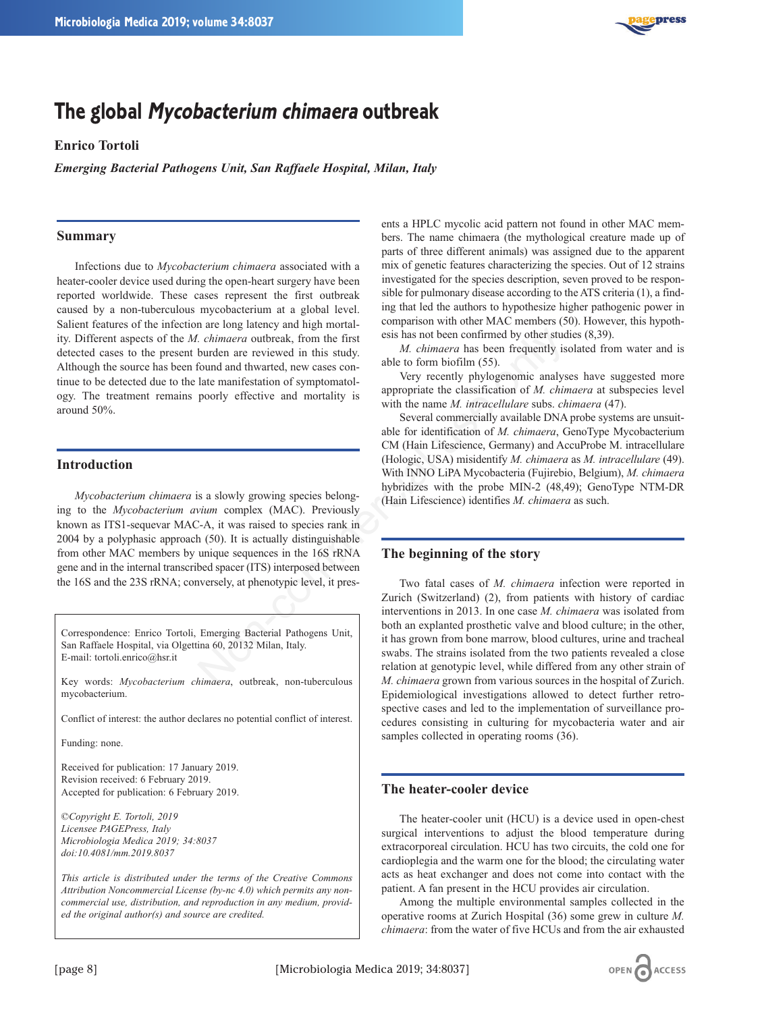

# **The global Mycobacterium chimaera outbreak**

## **Enrico Tortoli**

*Emerging Bacterial Pathogens Unit, San Raffaele Hospital, Milan, Italy*

## **Summary**

Infections due to *Mycobacterium chimaera* associated with a heater-cooler device used during the open-heart surgery have been reported worldwide. These cases represent the first outbreak caused by a non-tuberculous mycobacterium at a global level. Salient features of the infection are long latency and high mortality. Different aspects of the *M. chimaera* outbreak, from the first detected cases to the present burden are reviewed in this study. Although the source has been found and thwarted, new cases continue to be detected due to the late manifestation of symptomatology. The treatment remains poorly effective and mortality is around 50%.

#### **Introduction**

*Mycobacterium chimaera* is a slowly growing species belonging to the *Mycobacterium avium* complex (MAC). Previously known as ITS1-sequevar MAC-A, it was raised to species rank in 2004 by a polyphasic approach (50). It is actually distinguishable from other MAC members by unique sequences in the 16S rRNA gene and in the internal transcribed spacer (ITS) interposed between the 16S and the 23S rRNA; conversely, at phenotypic level, it pres-

Correspondence: Enrico Tortoli, Emerging Bacterial Pathogens Unit, San Raffaele Hospital, via Olgettina 60, 20132 Milan, Italy. E-mail: tortoli.enrico@hsr.it

Key words: *Mycobacterium chimaera*, outbreak, non-tuberculous mycobacterium.

Conflict of interest: the author declares no potential conflict of interest.

Funding: none.

Received for publication: 17 January 2019. Revision received: 6 February 2019. Accepted for publication: 6 February 2019.

©*Copyright E. Tortoli, 2019 Licensee PAGEPress, Italy Microbiologia Medica 2019; 34:8037 doi:10.4081/mm.2019.8037*

*This article is distributed under the terms of the Creative Commons Attribution Noncommercial License (by-nc 4.0) which permits any noncommercial use, distribution, and reproduction in any medium, provided the original author(s) and source are credited.*

ents a HPLC mycolic acid pattern not found in other MAC members. The name chimaera (the mythological creature made up of parts of three different animals) was assigned due to the apparent mix of genetic features characterizing the species. Out of 12 strains investigated for the species description, seven proved to be responsible for pulmonary disease according to the ATS criteria (1), a finding that led the authors to hypothesize higher pathogenic power in comparison with other MAC members (50). However, this hypothesis has not been confirmed by other studies (8,39).

*M. chimaera* has been frequently isolated from water and is able to form biofilm (55).

Very recently phylogenomic analyses have suggested more appropriate the classification of *M. chimaera* at subspecies level with the name *M. intracellulare* subs. *chimaera* (47).

Several commercially available DNA probe systems are unsuitable for identification of *M. chimaera*, GenoType Mycobacterium CM (Hain Lifescience, Germany) and AccuProbe M. intracellulare (Hologic, USA) misidentify *M. chimaera* as *M. intracellulare* (49). With INNO LiPA Mycobacteria (Fujirebio, Belgium), *M. chimaera* hybridizes with the probe MIN-2 (48,49); GenoType NTM-DR (Hain Lifescience) identifies *M. chimaera* as such.

### **The beginning of the story**

Two fatal cases of *M. chimaera* infection were reported in Zurich (Switzerland) (2), from patients with history of cardiac interventions in 2013. In one case *M. chimaera* was isolated from both an explanted prosthetic valve and blood culture; in the other, it has grown from bone marrow, blood cultures, urine and tracheal swabs. The strains isolated from the two patients revealed a close relation at genotypic level, while differed from any other strain of *M. chimaera* grown from various sources in the hospital of Zurich. Epidemiological investigations allowed to detect further retrospective cases and led to the implementation of surveillance procedures consisting in culturing for mycobacteria water and air samples collected in operating rooms (36). Commercial use of the studies of the studies of the studies of the studies of the studies of the studies of the studies of the studies of the studies of the studies of the studies of the studies of the studies of the stud

## **The heater-cooler device**

The heater-cooler unit (HCU) is a device used in open-chest surgical interventions to adjust the blood temperature during extracorporeal circulation. HCU has two circuits, the cold one for cardioplegia and the warm one for the blood; the circulating water acts as heat exchanger and does not come into contact with the patient. A fan present in the HCU provides air circulation.

Among the multiple environmental samples collected in the operative rooms at Zurich Hospital (36) some grew in culture *M. chimaera*: from the water of five HCUs and from the air exhausted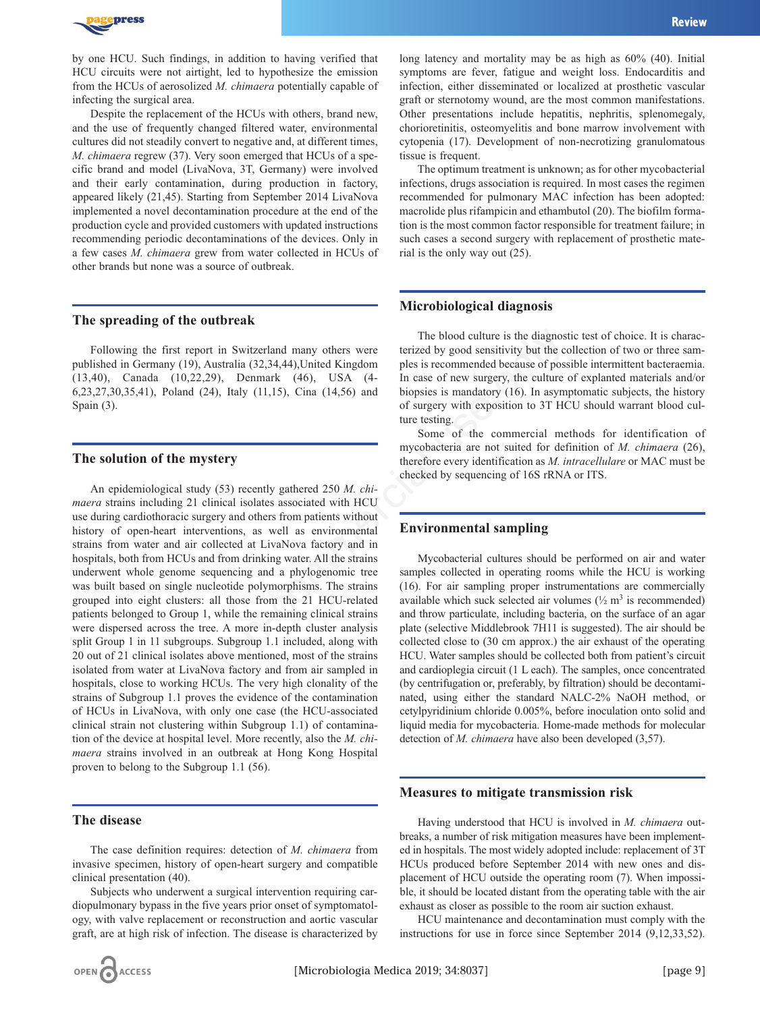

by one HCU. Such findings, in addition to having verified that HCU circuits were not airtight, led to hypothesize the emission from the HCUs of aerosolized *M. chimaera* potentially capable of infecting the surgical area.

Despite the replacement of the HCUs with others, brand new, and the use of frequently changed filtered water, environmental cultures did not steadily convert to negative and, at different times, *M. chimaera* regrew (37). Very soon emerged that HCUs of a specific brand and model (LivaNova, 3T, Germany) were involved and their early contamination, during production in factory, appeared likely (21,45). Starting from September 2014 LivaNova implemented a novel decontamination procedure at the end of the production cycle and provided customers with updated instructions recommending periodic decontaminations of the devices. Only in a few cases *M. chimaera* grew from water collected in HCUs of other brands but none was a source of outbreak.

#### **The spreading of the outbreak**

Following the first report in Switzerland many others were published in Germany (19), Australia (32,34,44),United Kingdom (13,40), Canada (10,22,29), Denmark (46), USA (4- 6,23,27,30,35,41), Poland (24), Italy (11,15), Cina (14,56) and Spain (3).

### **The solution of the mystery**

An epidemiological study (53) recently gathered 250 *M. chimaera* strains including 21 clinical isolates associated with HCU use during cardiothoracic surgery and others from patients without history of open-heart interventions, as well as environmental strains from water and air collected at LivaNova factory and in hospitals, both from HCUs and from drinking water. All the strains underwent whole genome sequencing and a phylogenomic tree was built based on single nucleotide polymorphisms. The strains grouped into eight clusters: all those from the 21 HCU-related patients belonged to Group 1, while the remaining clinical strains were dispersed across the tree. A more in-depth cluster analysis split Group 1 in 11 subgroups. Subgroup 1.1 included, along with 20 out of 21 clinical isolates above mentioned, most of the strains isolated from water at LivaNova factory and from air sampled in hospitals, close to working HCUs. The very high clonality of the strains of Subgroup 1.1 proves the evidence of the contamination of HCUs in LivaNova, with only one case (the HCU-associated clinical strain not clustering within Subgroup 1.1) of contamination of the device at hospital level. More recently, also the *M. chimaera* strains involved in an outbreak at Hong Kong Hospital proven to belong to the Subgroup 1.1 (56). The blood culture is the diagnos<br>
ord in Switzerland many others were<br>
terizzed by good sensitivity but the comparison<br>
(46), USA (4-<br>
In case of new surgery, the culture<br>
(24), Italy (11,15), Cina (14,56) and<br>
toposizes

## **The disease**

The case definition requires: detection of *M. chimaera* from invasive specimen, history of open-heart surgery and compatible clinical presentation (40).

Subjects who underwent a surgical intervention requiring cardiopulmonary bypass in the five years prior onset of symptomatology, with valve replacement or reconstruction and aortic vascular graft, are at high risk of infection. The disease is characterized by

long latency and mortality may be as high as 60% (40). Initial symptoms are fever, fatigue and weight loss. Endocarditis and infection, either disseminated or localized at prosthetic vascular graft or sternotomy wound, are the most common manifestations. Other presentations include hepatitis, nephritis, splenomegaly, chorioretinitis, osteomyelitis and bone marrow involvement with cytopenia (17). Development of non-necrotizing granulomatous tissue is frequent.

The optimum treatment is unknown; as for other mycobacterial infections, drugs association is required. In most cases the regimen recommended for pulmonary MAC infection has been adopted: macrolide plus rifampicin and ethambutol (20). The biofilm formation is the most common factor responsible for treatment failure; in such cases a second surgery with replacement of prosthetic material is the only way out (25).

#### **Microbiological diagnosis**

The blood culture is the diagnostic test of choice. It is characterized by good sensitivity but the collection of two or three samples is recommended because of possible intermittent bacteraemia. In case of new surgery, the culture of explanted materials and/or biopsies is mandatory (16). In asymptomatic subjects, the history of surgery with exposition to 3T HCU should warrant blood culture testing.

Some of the commercial methods for identification of mycobacteria are not suited for definition of *M. chimaera* (26), therefore every identification as *M. intracellulare* or MAC must be checked by sequencing of 16S rRNA or ITS.

### **Environmental sampling**

Mycobacterial cultures should be performed on air and water samples collected in operating rooms while the HCU is working (16). For air sampling proper instrumentations are commercially available which suck selected air volumes  $(\frac{1}{2} \text{ m}^3 \text{ is recommended})$ and throw particulate, including bacteria, on the surface of an agar plate (selective Middlebrook 7H11 is suggested). The air should be collected close to (30 cm approx.) the air exhaust of the operating HCU. Water samples should be collected both from patient's circuit and cardioplegia circuit (1 L each). The samples, once concentrated (by centrifugation or, preferably, by filtration) should be decontaminated, using either the standard NALC-2% NaOH method, or cetylpyridinium chloride 0.005%, before inoculation onto solid and liquid media for mycobacteria. Home-made methods for molecular detection of *M. chimaera* have also been developed (3,57).

#### **Measures to mitigate transmission risk**

Having understood that HCU is involved in *M. chimaera* outbreaks, a number of risk mitigation measures have been implemented in hospitals. The most widely adopted include: replacement of 3T HCUs produced before September 2014 with new ones and displacement of HCU outside the operating room (7). When impossible, it should be located distant from the operating table with the air exhaust as closer as possible to the room air suction exhaust.

HCU maintenance and decontamination must comply with the instructions for use in force since September 2014 (9,12,33,52).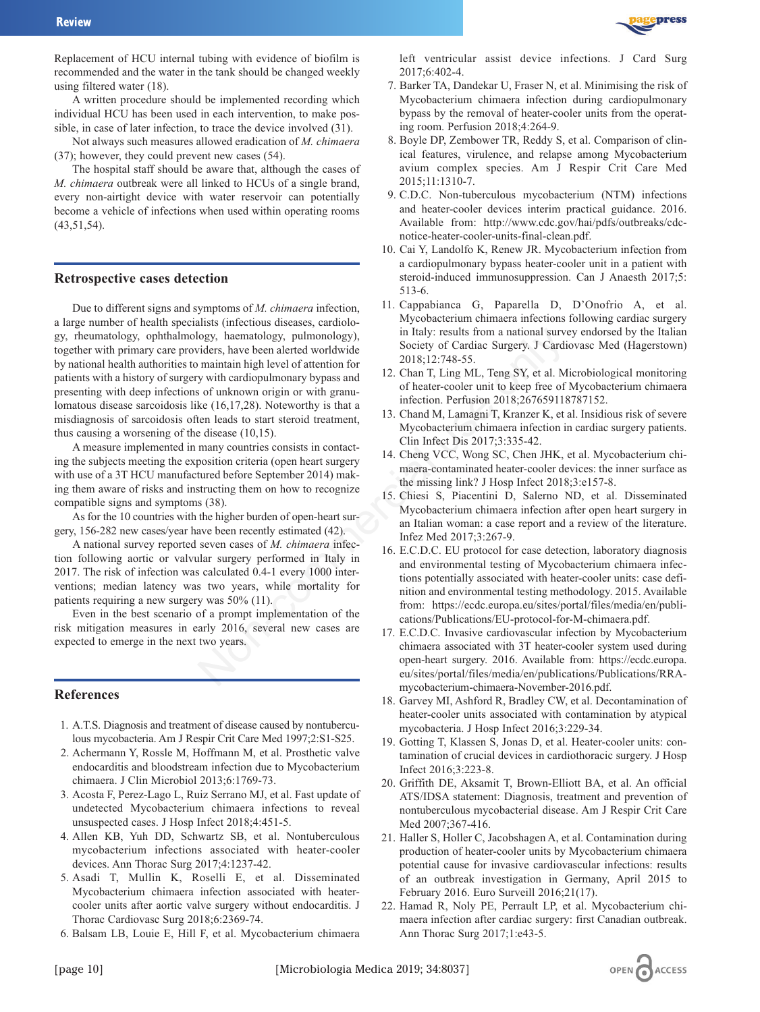

Replacement of HCU internal tubing with evidence of biofilm is recommended and the water in the tank should be changed weekly using filtered water (18).

A written procedure should be implemented recording which individual HCU has been used in each intervention, to make possible, in case of later infection, to trace the device involved (31).

Not always such measures allowed eradication of *M. chimaera* (37); however, they could prevent new cases (54).

The hospital staff should be aware that, although the cases of *M. chimaera* outbreak were all linked to HCUs of a single brand, every non-airtight device with water reservoir can potentially become a vehicle of infections when used within operating rooms (43,51,54).

### **Retrospective cases detection**

Due to different signs and symptoms of *M. chimaera* infection, a large number of health specialists (infectious diseases, cardiology, rheumatology, ophthalmology, haematology, pulmonology), together with primary care providers, have been alerted worldwide by national health authorities to maintain high level of attention for patients with a history of surgery with cardiopulmonary bypass and presenting with deep infections of unknown origin or with granulomatous disease sarcoidosis like (16,17,28). Noteworthy is that a misdiagnosis of sarcoidosis often leads to start steroid treatment, thus causing a worsening of the disease (10,15). ogy, haematology, pulmonology),<br>
in Italy: results from a national survey communitain high level of attention for<br>
2018;12:748-55.<br>
with cardiopulmonary bypass and<br>
12. Chan T, Ling ML, Teng SY, et al. M<br>
is of unknown ori

A measure implemented in many countries consists in contacting the subjects meeting the exposition criteria (open heart surgery with use of a 3T HCU manufactured before September 2014) making them aware of risks and instructing them on how to recognize compatible signs and symptoms (38).

As for the 10 countries with the higher burden of open-heart surgery, 156-282 new cases/year have been recently estimated (42).

A national survey reported seven cases of *M. chimaera* infection following aortic or valvular surgery performed in Italy in 2017. The risk of infection was calculated 0.4-1 every 1000 interventions; median latency was two years, while mortality for patients requiring a new surgery was 50% (11).

Even in the best scenario of a prompt implementation of the risk mitigation measures in early 2016, several new cases are expected to emerge in the next two years.

### **References**

- 1. A.T.S. Diagnosis and treatment of disease caused by nontuberculous mycobacteria. Am J Respir Crit Care Med 1997;2:S1-S25.
- 2. Achermann Y, Rossle M, Hoffmann M, et al. Prosthetic valve endocarditis and bloodstream infection due to Mycobacterium chimaera. J Clin Microbiol 2013;6:1769-73.
- 3. Acosta F, Perez-Lago L, Ruiz Serrano MJ, et al. Fast update of undetected Mycobacterium chimaera infections to reveal unsuspected cases. J Hosp Infect 2018;4:451-5.
- 4. Allen KB, Yuh DD, Schwartz SB, et al. Nontuberculous mycobacterium infections associated with heater-cooler devices. Ann Thorac Surg 2017;4:1237-42.
- 5. Asadi T, Mullin K, Roselli E, et al. Disseminated Mycobacterium chimaera infection associated with heatercooler units after aortic valve surgery without endocarditis. J Thorac Cardiovasc Surg 2018;6:2369-74.
- 6. Balsam LB, Louie E, Hill F, et al. Mycobacterium chimaera
- 7. Barker TA, Dandekar U, Fraser N, et al. Minimising the risk of Mycobacterium chimaera infection during cardiopulmonary bypass by the removal of heater-cooler units from the operating room. Perfusion 2018;4:264-9.
- 8. Boyle DP, Zembower TR, Reddy S, et al. Comparison of clinical features, virulence, and relapse among Mycobacterium avium complex species. Am J Respir Crit Care Med 2015;11:1310-7.
- 9. C.D.C. Non-tuberculous mycobacterium (NTM) infections and heater-cooler devices interim practical guidance. 2016. Available from: http://www.cdc.gov/hai/pdfs/outbreaks/cdcnotice-heater-cooler-units-final-clean.pdf.
- 10. Cai Y, Landolfo K, Renew JR. Mycobacterium infection from a cardiopulmonary bypass heater-cooler unit in a patient with steroid-induced immunosuppression. Can J Anaesth 2017;5: 513-6.
- 11. Cappabianca G, Paparella D, D'Onofrio A, et al. Mycobacterium chimaera infections following cardiac surgery in Italy: results from a national survey endorsed by the Italian Society of Cardiac Surgery. J Cardiovasc Med (Hagerstown) 2018;12:748-55.
- 12. Chan T, Ling ML, Teng SY, et al. Microbiological monitoring of heater-cooler unit to keep free of Mycobacterium chimaera infection. Perfusion 2018;267659118787152.
- 13. Chand M, Lamagni T, Kranzer K, et al. Insidious risk of severe Mycobacterium chimaera infection in cardiac surgery patients. Clin Infect Dis 2017;3:335-42.
- 14. Cheng VCC, Wong SC, Chen JHK, et al. Mycobacterium chimaera-contaminated heater-cooler devices: the inner surface as the missing link? J Hosp Infect 2018;3:e157-8.
- 15. Chiesi S, Piacentini D, Salerno ND, et al. Disseminated Mycobacterium chimaera infection after open heart surgery in an Italian woman: a case report and a review of the literature. Infez Med 2017;3:267-9.
- 16. E.C.D.C. EU protocol for case detection, laboratory diagnosis and environmental testing of Mycobacterium chimaera infections potentially associated with heater-cooler units: case definition and environmental testing methodology. 2015. Available from: https://ecdc.europa.eu/sites/portal/files/media/en/publications/Publications/EU-protocol-for-M-chimaera.pdf.
- 17. E.C.D.C. Invasive cardiovascular infection by Mycobacterium chimaera associated with 3T heater-cooler system used during open-heart surgery. 2016. Available from: https://ecdc.europa. eu/sites/portal/files/media/en/publications/Publications/RRAmycobacterium-chimaera-November-2016.pdf.
- 18. Garvey MI, Ashford R, Bradley CW, et al. Decontamination of heater-cooler units associated with contamination by atypical mycobacteria. J Hosp Infect 2016;3:229-34.
- 19. Gotting T, Klassen S, Jonas D, et al. Heater-cooler units: contamination of crucial devices in cardiothoracic surgery. J Hosp Infect 2016;3:223-8.
- 20. Griffith DE, Aksamit T, Brown-Elliott BA, et al. An official ATS/IDSA statement: Diagnosis, treatment and prevention of nontuberculous mycobacterial disease. Am J Respir Crit Care Med 2007;367-416.
- 21. Haller S, Holler C, Jacobshagen A, et al. Contamination during production of heater-cooler units by Mycobacterium chimaera potential cause for invasive cardiovascular infections: results of an outbreak investigation in Germany, April 2015 to February 2016. Euro Surveill 2016;21(17).
- 22. Hamad R, Noly PE, Perrault LP, et al. Mycobacterium chimaera infection after cardiac surgery: first Canadian outbreak. Ann Thorac Surg 2017;1:e43-5.